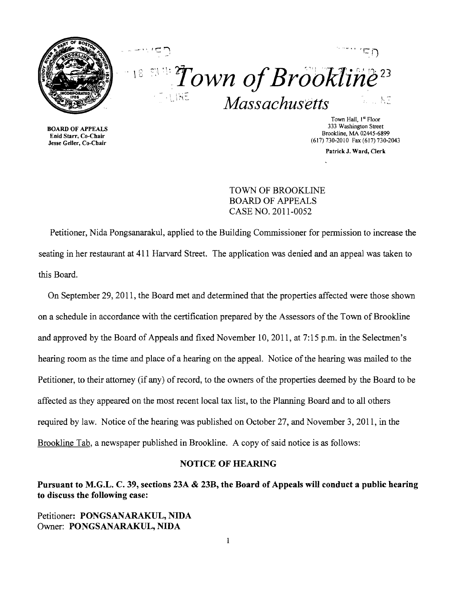



**BOARD OF APPEALS<br>Enid Starr, Co-Chair** 

Town Hall,  $I^{\alpha}$  Floor<br>333 Washington Street Brookline, MA 02445-6899<br>
Enid Starr, Co-Chair<br>
Jesse Geller, Co-Chair<br>
(617) 730-2010 Fax (617) 730-2 (617) 730-2010 Fax (617) 730-2043

PatrickJ. Ward, Clerk

# TOWN OF BROOKLINE BOARD OF APPEALS CASE NO. 2011-0052

Petitioner, Nida Pongsanarakul, applied to the Building Commissioner for permission to increase the seating in her restaurant at 411 Harvard Street. The application was denied and an appeal was taken to this Board.

On September 29,2011, the Board met and determined that the properties affected were those shown on a schedule in accordance with the certification prepared by the Assessors of the Town of Brookline and approved by the Board of Appeals and fixed November 10,2011, at 7:15 p.m. in the Selectmen's hearing room as the time and place of a hearing on the appeal. Notice of the hearing was mailed to the Petitioner, to their attorney (if any) of record, to the owners of the properties deemed by the Board to be affected as they appeared on the most recent local tax list, to the Planning Board and to all others required by law. Notice of the hearing was published on October 27, and November 3, 2011, in the Brookline Tab, a newspaper published in Brookline. A copy of said notice is as follows:

## NOTICE OF HEARING

Pursuant to M.G.L. C. 39, sections 23A & 23B, the Board of Appeals will conduct a public hearing to discuss the following case:

Petitioner: PONGSANARAKUL, NIDA Owner: PONGSANARAKUL, NIDA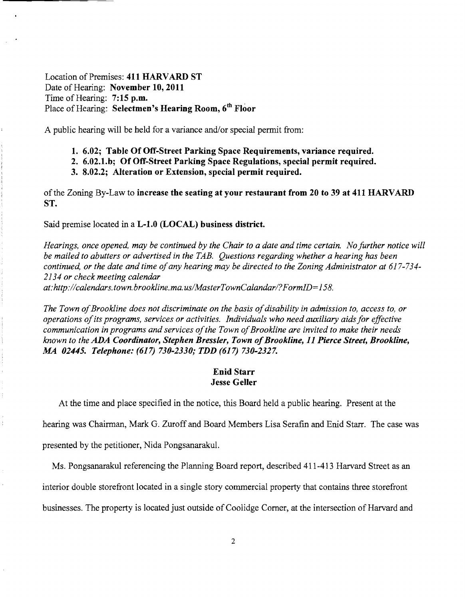Location of Premises: **411 HARVARD ST**  Date of Hearing: **November 10,2011**  Time of Hearing: **7:15 p.m.**  Place of Hearing: **Selectmen's Hearing Room, 6th Floor** 

A public hearing will be held for a variance and/or special permit from:

- **1. 6.02; Table Of Off-Street Parking Space Requirements, variance required.**
- **2. 6.02.1.b; Of Off-Street Parking Space Regulations, special permit required.**
- **3. 8.02.2; Alteration or Extension, special permit required.**

of the Zoning By-Law to **increase the seating at your restaurant from 20 to 39 at 411 HARVARD ST.** 

Said premise located in a **L-l.O (LOCAL) business district.** 

*Hearings, once opened, may be continued by the Chair to a date and time certain. No further notice will be mailed to abutters or advertised in the TAB. Questions regarding whether a hearing has been continued, or the date and time ofany hearing may be directed to the Zoning Administrator at 617-734 2134 or check meeting calendar at:http://calendars. town. brookline. ma. uslMasterTownCalandarl?FormID=158.* 

The Town of Brookline does not discriminate on the basis of disability in admission to, access to, or *operations ofits programs, services or activities. Individuals who need auxiliary aids for effective*  communication in programs and services of the Town of Brookline are invited to make their needs *known to the ADA Coordinator, Stephen Bressler, Town ofBrookline,* **11** *Pierce Street, Brookline, MA 02445. Telephone:* **(617)** *730-2330; TDD* **(617)** *730-2327.* 

### **Enid Starr Jesse Geller**

At the time and place specified in the notice, this Board held a public hearing. Present at the

hearing was Chairman, Mark G. Zuroff and Board Members Lisa Serafin and Enid Starr. The case was

presented by the petitioner, Nida Pongsanarakul.

Ms. Pongsanarakul referencing the Planning Board report, described 411-413 Harvard Street as an

interior double storefront located in a single story commercial property that contains three storefront

businesses. The property is located just outside of Coolidge Comer, at the intersection of Harvard and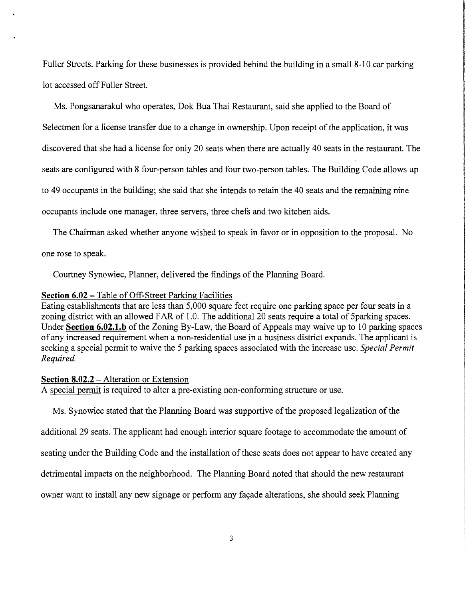Fuller Streets. Parking for these businesses is provided behind the building in a small 8-10 car parking lot accessed off Fuller Street.

Ms. Pongsanarakul who operates, Dok Bua Thai Restaurant, said she applied to the Board of Selectmen for a license transfer due to a change in ownership. Upon receipt of the application, it was discovered that she had a license for only 20 seats when there are actually 40 seats in the restaurant. The seats are configured with 8 four-person tables and four two-person tables. The Building Code allows up to 49 occupants in the building; she said that she intends to retain the 40 seats and the remaining nine occupants include one manager, three servers, three chefs and two kitchen aids.

The Chairman asked whether anyone wished to speak in favor or in opposition to the proposal. No one rose to speak.

Courtney Synowiec, Planner, delivered the findings of the Planning Board.

#### **Section 6.02 -** Table of Off-Street Parking Facilities

Eating establishments that are less than 5,000 square feet require one parking space per four seats in a zoning district with an allowed FAR of 1.0. The additional 20 seats require a total of Sparking spaces. Under **Section 6.02.1.b** of the Zoning By-Law, the Board of Appeals may waive up to 10 parking spaces of any increased requirement when a non-residential use in a business district expands. The applicant is seeking a special permit to waive the 5 parking spaces associated with the increase use. *Special Permit Required.* 

#### **Section 8.02.2 – Alteration or Extension**

A special permit is required to alter a pre-existing non-conforming structure or use.

Ms. Synowiec stated that the Planning Board was supportive of the proposed legalization of the

additional 29 seats. The applicant had enough interior square footage to accommodate the amount of

seating under the Building Code and the installation of these seats does not appear to have created any

detrimental impacts on the neighborhood. The Planning Board noted that should the new restaurant

owner want to install any new signage or perform any façade alterations, she should seek Planning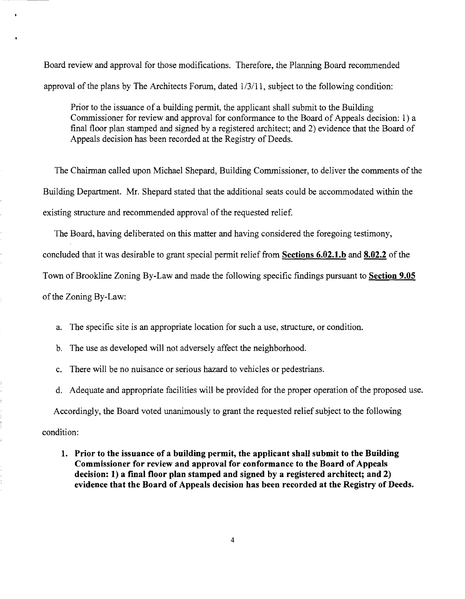Board review and approval for those modifications. Therefore, the Planning Board recommended approval of the plans by The Architects Forum, dated  $1/3/11$ , subject to the following condition:

Prior to the issuance of a building permit, the applicant shall submit to the Building Commissioner for review and approval for confonnance to the Board of Appeals decision: 1) a final floor plan stamped and signed by a registered architect; and 2) evidence that the Board of Appeals decision has been recorded at the Registry of Deeds.

The Chairman called upon Michael Shepard, Building Commissioner, to deliver the comments of the Building Department. Mr. Shepard stated that the additional seats could be accommodated within the existing structure and recommended approval of the requested relief.

The Board, having deliberated on this matter and having considered the foregoing testimony,

concluded that it was desirable to grant special pennit relief from **Sections 6.02.1.b and 8.02.2** of the

Town of Brookline Zoning By-Law and made the following specific fmdings pursuant to **Section 9.05** 

of the Zoning By-Law:

a. The specific site is an appropriate location for such a use, structure, or condition.

b. The use as developed will not adversely affect the neighborhood.

c. There will be no nuisance or serious hazard to vehicles or pedestrians.

d. Adequate and appropriate facilities will be provided for the proper operation of the proposed use.

Accordingly, the Board voted unanimously to grant the requested relief subject to the following

condition:

**1. Prior to the issuance of a building permit, the applicant shall submit to the Building Commissioner for review and approval for conformance to the Board of Appeals decision: 1) a fmal floor plan stamped and signed by a registered architect; and 2) evidence that the Board of Appeals decision has been recorded at the Registry of Deeds.** 

4